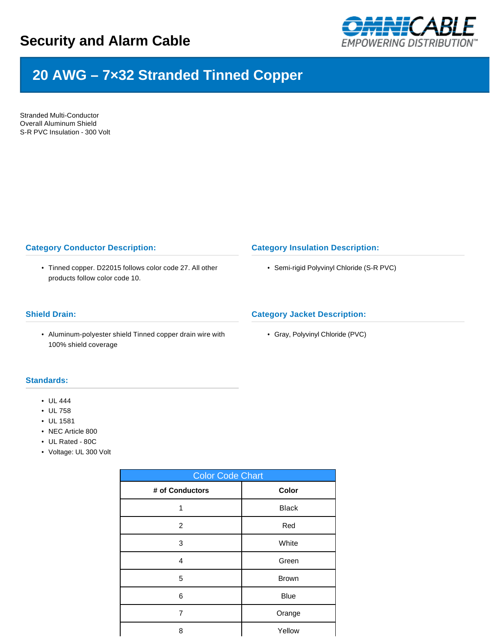

# **20 AWG – 7×32 Stranded Tinned Copper**

Stranded Multi-Conductor Overall Aluminum Shield S-R PVC Insulation - 300 Volt

# **Category Conductor Description:**

• Tinned copper. D22015 follows color code 27. All other products follow color code 10.

#### **Shield Drain:**

• Aluminum-polyester shield Tinned copper drain wire with 100% shield coverage

## **Category Insulation Description:**

• Semi-rigid Polyvinyl Chloride (S-R PVC)

## **Category Jacket Description:**

• Gray, Polyvinyl Chloride (PVC)

## **Standards:**

- UL 444
- UL 758
- UL 1581
- NEC Article 800
- UL Rated 80C
- Voltage: UL 300 Volt

| <b>Color Code Chart</b> |              |  |  |  |  |
|-------------------------|--------------|--|--|--|--|
| # of Conductors         | Color        |  |  |  |  |
| 1                       | <b>Black</b> |  |  |  |  |
| 2                       | Red          |  |  |  |  |
| 3                       | White        |  |  |  |  |
| 4                       | Green        |  |  |  |  |
| 5                       | <b>Brown</b> |  |  |  |  |
| 6                       | <b>Blue</b>  |  |  |  |  |
| 7                       | Orange       |  |  |  |  |
| 8                       | Yellow       |  |  |  |  |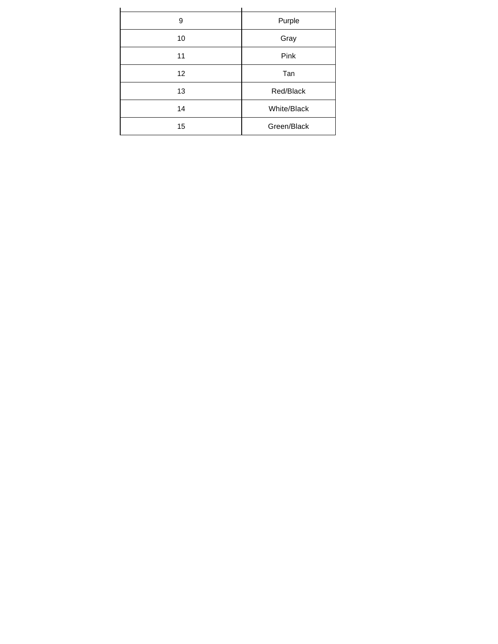| 9  | Purple      |  |  |  |
|----|-------------|--|--|--|
| 10 | Gray        |  |  |  |
| 11 | Pink        |  |  |  |
| 12 | Tan         |  |  |  |
| 13 | Red/Black   |  |  |  |
| 14 | White/Black |  |  |  |
| 15 | Green/Black |  |  |  |
|    |             |  |  |  |